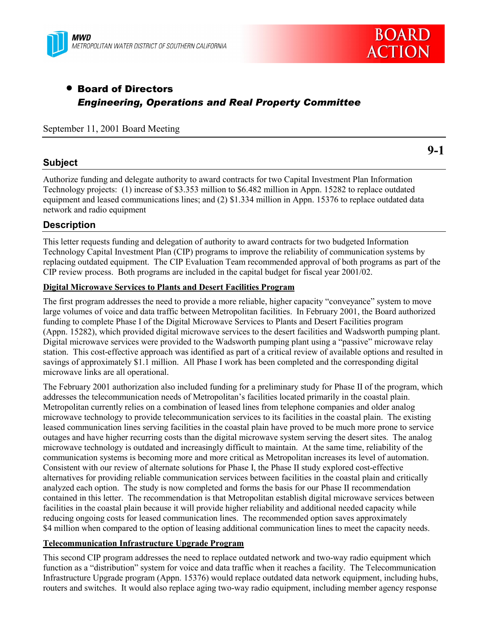



# • Board of Directors *Engineering, Operations and Real Property Committee*

September 11, 2001 Board Meeting

## **Subject**

**9-1**

Authorize funding and delegate authority to award contracts for two Capital Investment Plan Information Technology projects: (1) increase of \$3.353 million to \$6.482 million in Appn. 15282 to replace outdated equipment and leased communications lines; and (2) \$1.334 million in Appn. 15376 to replace outdated data network and radio equipment

# **Description**

This letter requests funding and delegation of authority to award contracts for two budgeted Information Technology Capital Investment Plan (CIP) programs to improve the reliability of communication systems by replacing outdated equipment. The CIP Evaluation Team recommended approval of both programs as part of the CIP review process. Both programs are included in the capital budget for fiscal year 2001/02.

## **Digital Microwave Services to Plants and Desert Facilities Program**

The first program addresses the need to provide a more reliable, higher capacity "conveyance" system to move large volumes of voice and data traffic between Metropolitan facilities. In February 2001, the Board authorized funding to complete Phase I of the Digital Microwave Services to Plants and Desert Facilities program (Appn. 15282), which provided digital microwave services to the desert facilities and Wadsworth pumping plant. Digital microwave services were provided to the Wadsworth pumping plant using a "passive" microwave relay station. This cost-effective approach was identified as part of a critical review of available options and resulted in savings of approximately \$1.1 million. All Phase I work has been completed and the corresponding digital microwave links are all operational.

The February 2001 authorization also included funding for a preliminary study for Phase II of the program, which addresses the telecommunication needs of Metropolitan's facilities located primarily in the coastal plain. Metropolitan currently relies on a combination of leased lines from telephone companies and older analog microwave technology to provide telecommunication services to its facilities in the coastal plain. The existing leased communication lines serving facilities in the coastal plain have proved to be much more prone to service outages and have higher recurring costs than the digital microwave system serving the desert sites. The analog microwave technology is outdated and increasingly difficult to maintain. At the same time, reliability of the communication systems is becoming more and more critical as Metropolitan increases its level of automation. Consistent with our review of alternate solutions for Phase I, the Phase II study explored cost-effective alternatives for providing reliable communication services between facilities in the coastal plain and critically analyzed each option. The study is now completed and forms the basis for our Phase II recommendation contained in this letter. The recommendation is that Metropolitan establish digital microwave services between facilities in the coastal plain because it will provide higher reliability and additional needed capacity while reducing ongoing costs for leased communication lines. The recommended option saves approximately \$4 million when compared to the option of leasing additional communication lines to meet the capacity needs.

### **Telecommunication Infrastructure Upgrade Program**

This second CIP program addresses the need to replace outdated network and two-way radio equipment which function as a "distribution" system for voice and data traffic when it reaches a facility. The Telecommunication Infrastructure Upgrade program (Appn. 15376) would replace outdated data network equipment, including hubs, routers and switches. It would also replace aging two-way radio equipment, including member agency response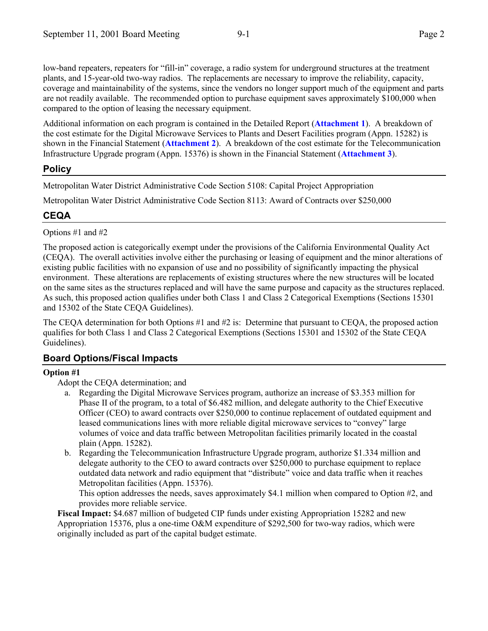low-band repeaters, repeaters for "fill-in" coverage, a radio system for underground structures at the treatment plants, and 15-year-old two-way radios. The replacements are necessary to improve the reliability, capacity, coverage and maintainability of the systems, since the vendors no longer support much of the equipment and parts are not readily available. The recommended option to purchase equipment saves approximately \$100,000 when compared to the option of leasing the necessary equipment.

Additional information on each program is contained in the Detailed Report (**Attachment 1**). A breakdown of the cost estimate for the Digital Microwave Services to Plants and Desert Facilities program (Appn. 15282) is shown in the Financial Statement (**Attachment 2**). A breakdown of the cost estimate for the Telecommunication Infrastructure Upgrade program (Appn. 15376) is shown in the Financial Statement (**Attachment 3**).

# **Policy**

Metropolitan Water District Administrative Code Section 5108: Capital Project Appropriation

Metropolitan Water District Administrative Code Section 8113: Award of Contracts over \$250,000

# **CEQA**

Options #1 and #2

The proposed action is categorically exempt under the provisions of the California Environmental Quality Act (CEQA). The overall activities involve either the purchasing or leasing of equipment and the minor alterations of existing public facilities with no expansion of use and no possibility of significantly impacting the physical environment. These alterations are replacements of existing structures where the new structures will be located on the same sites as the structures replaced and will have the same purpose and capacity as the structures replaced. As such, this proposed action qualifies under both Class 1 and Class 2 Categorical Exemptions (Sections 15301 and 15302 of the State CEQA Guidelines).

The CEQA determination for both Options #1 and #2 is: Determine that pursuant to CEQA, the proposed action qualifies for both Class 1 and Class 2 Categorical Exemptions (Sections 15301 and 15302 of the State CEQA Guidelines).

# **Board Options/Fiscal Impacts**

# **Option #1**

Adopt the CEQA determination; and

- a. Regarding the Digital Microwave Services program, authorize an increase of \$3.353 million for Phase II of the program, to a total of \$6.482 million, and delegate authority to the Chief Executive Officer (CEO) to award contracts over \$250,000 to continue replacement of outdated equipment and leased communications lines with more reliable digital microwave services to "convey" large volumes of voice and data traffic between Metropolitan facilities primarily located in the coastal plain (Appn. 15282).
- b. Regarding the Telecommunication Infrastructure Upgrade program, authorize \$1.334 million and delegate authority to the CEO to award contracts over \$250,000 to purchase equipment to replace outdated data network and radio equipment that "distribute" voice and data traffic when it reaches Metropolitan facilities (Appn. 15376).

This option addresses the needs, saves approximately \$4.1 million when compared to Option #2, and provides more reliable service.

**Fiscal Impact:** \$4.687 million of budgeted CIP funds under existing Appropriation 15282 and new Appropriation 15376, plus a one-time O&M expenditure of \$292,500 for two-way radios, which were originally included as part of the capital budget estimate.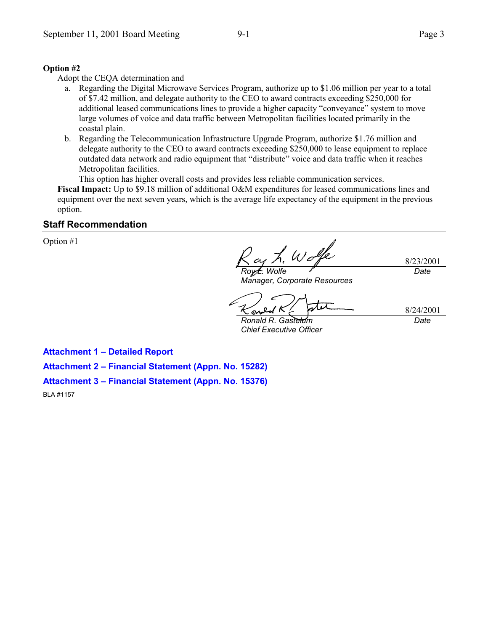#### **Option #2**

Adopt the CEQA determination and

- a. Regarding the Digital Microwave Services Program, authorize up to \$1.06 million per year to a total of \$7.42 million, and delegate authority to the CEO to award contracts exceeding \$250,000 for additional leased communications lines to provide a higher capacity "conveyance" system to move large volumes of voice and data traffic between Metropolitan facilities located primarily in the coastal plain.
- b. Regarding the Telecommunication Infrastructure Upgrade Program, authorize \$1.76 million and delegate authority to the CEO to award contracts exceeding \$250,000 to lease equipment to replace outdated data network and radio equipment that "distribute" voice and data traffic when it reaches Metropolitan facilities.

This option has higher overall costs and provides less reliable communication services.

**Fiscal Impact:** Up to \$9.18 million of additional O&M expenditures for leased communications lines and equipment over the next seven years, which is the average life expectancy of the equipment in the previous option.

#### **Staff Recommendation**

Option #1

8/23/2001 *Roy L. Wolfe Date*

*Manager, Corporate Resources*

8/24/2001 *Date*

*Ronald R. Gastelum Chief Executive Officer*

ഹ

**Attachment 1 - Detailed Report** 

Attachment 2 - Financial Statement (Appn. No. 15282)

Attachment 3 - Financial Statement (Appn. No. 15376)

BLA #1157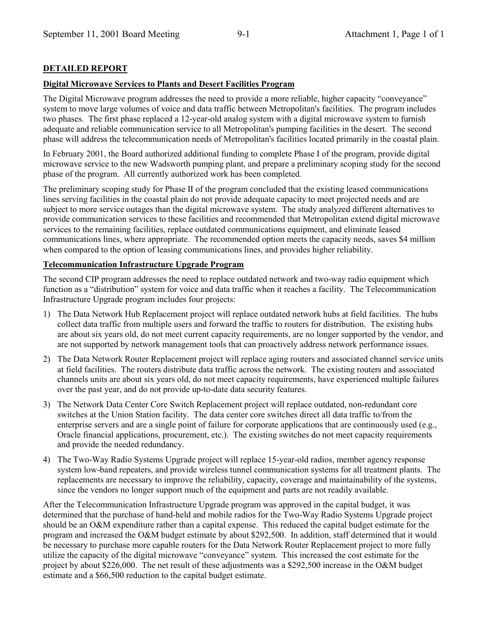## **DETAILED REPORT**

#### **Digital Microwave Services to Plants and Desert Facilities Program**

The Digital Microwave program addresses the need to provide a more reliable, higher capacity "conveyance" system to move large volumes of voice and data traffic between Metropolitan's facilities. The program includes two phases. The first phase replaced a 12-year-old analog system with a digital microwave system to furnish adequate and reliable communication service to all Metropolitan's pumping facilities in the desert. The second phase will address the telecommunication needs of Metropolitan's facilities located primarily in the coastal plain.

In February 2001, the Board authorized additional funding to complete Phase I of the program, provide digital microwave service to the new Wadsworth pumping plant, and prepare a preliminary scoping study for the second phase of the program. All currently authorized work has been completed.

The preliminary scoping study for Phase II of the program concluded that the existing leased communications lines serving facilities in the coastal plain do not provide adequate capacity to meet projected needs and are subject to more service outages than the digital microwave system. The study analyzed different alternatives to provide communication services to these facilities and recommended that Metropolitan extend digital microwave services to the remaining facilities, replace outdated communications equipment, and eliminate leased communications lines, where appropriate. The recommended option meets the capacity needs, saves \$4 million when compared to the option of leasing communications lines, and provides higher reliability.

#### **Telecommunication Infrastructure Upgrade Program**

The second CIP program addresses the need to replace outdated network and two-way radio equipment which function as a "distribution" system for voice and data traffic when it reaches a facility. The Telecommunication Infrastructure Upgrade program includes four projects:

- 1) The Data Network Hub Replacement project will replace outdated network hubs at field facilities. The hubs collect data traffic from multiple users and forward the traffic to routers for distribution. The existing hubs are about six years old, do not meet current capacity requirements, are no longer supported by the vendor, and are not supported by network management tools that can proactively address network performance issues.
- 2) The Data Network Router Replacement project will replace aging routers and associated channel service units at field facilities. The routers distribute data traffic across the network. The existing routers and associated channels units are about six years old, do not meet capacity requirements, have experienced multiple failures over the past year, and do not provide up-to-date data security features.
- 3) The Network Data Center Core Switch Replacement project will replace outdated, non-redundant core switches at the Union Station facility. The data center core switches direct all data traffic to/from the enterprise servers and are a single point of failure for corporate applications that are continuously used (e.g., Oracle financial applications, procurement, etc.). The existing switches do not meet capacity requirements and provide the needed redundancy.
- 4) The Two-Way Radio Systems Upgrade project will replace 15-year-old radios, member agency response system low-band repeaters, and provide wireless tunnel communication systems for all treatment plants. The replacements are necessary to improve the reliability, capacity, coverage and maintainability of the systems, since the vendors no longer support much of the equipment and parts are not readily available.

After the Telecommunication Infrastructure Upgrade program was approved in the capital budget, it was determined that the purchase of hand-held and mobile radios for the Two-Way Radio Systems Upgrade project should be an O&M expenditure rather than a capital expense. This reduced the capital budget estimate for the program and increased the O&M budget estimate by about \$292,500. In addition, staff determined that it would be necessary to purchase more capable routers for the Data Network Router Replacement project to more fully utilize the capacity of the digital microwave "conveyance" system. This increased the cost estimate for the project by about \$226,000. The net result of these adjustments was a \$292,500 increase in the O&M budget estimate and a \$66,500 reduction to the capital budget estimate.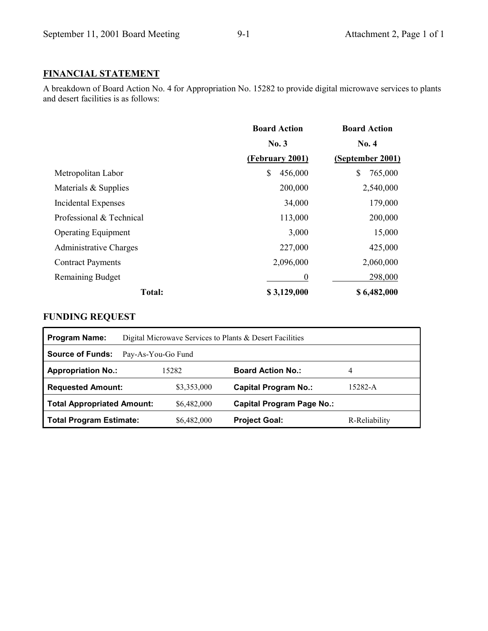# **FINANCIAL STATEMENT**

A breakdown of Board Action No. 4 for Appropriation No. 15282 to provide digital microwave services to plants and desert facilities is as follows:

|                               | <b>Board Action</b> | <b>Board Action</b><br><b>No. 4</b> |
|-------------------------------|---------------------|-------------------------------------|
|                               | No. 3               |                                     |
|                               | (February 2001)     | (September 2001)                    |
| Metropolitan Labor            | \$<br>456,000       | \$<br>765,000                       |
| Materials & Supplies          | 200,000             | 2,540,000                           |
| Incidental Expenses           | 34,000              | 179,000                             |
| Professional & Technical      | 113,000             | 200,000                             |
| <b>Operating Equipment</b>    | 3,000               | 15,000                              |
| <b>Administrative Charges</b> | 227,000             | 425,000                             |
| <b>Contract Payments</b>      | 2,096,000           | 2,060,000                           |
| <b>Remaining Budget</b>       | $\boldsymbol{0}$    | 298,000                             |
| <b>Total:</b>                 | \$3,129,000         | \$6,482,000                         |

# **FUNDING REQUEST**

| <b>Program Name:</b>              | Digital Microwave Services to Plants & Desert Facilities |             |                                  |               |  |  |
|-----------------------------------|----------------------------------------------------------|-------------|----------------------------------|---------------|--|--|
| <b>Source of Funds:</b>           | Pay-As-You-Go Fund                                       |             |                                  |               |  |  |
| <b>Appropriation No.:</b>         |                                                          | 15282       | <b>Board Action No.:</b>         | 4             |  |  |
| <b>Requested Amount:</b>          |                                                          | \$3,353,000 | <b>Capital Program No.:</b>      | 15282-A       |  |  |
| <b>Total Appropriated Amount:</b> |                                                          | \$6,482,000 | <b>Capital Program Page No.:</b> |               |  |  |
| <b>Total Program Estimate:</b>    |                                                          | \$6,482,000 | <b>Project Goal:</b>             | R-Reliability |  |  |